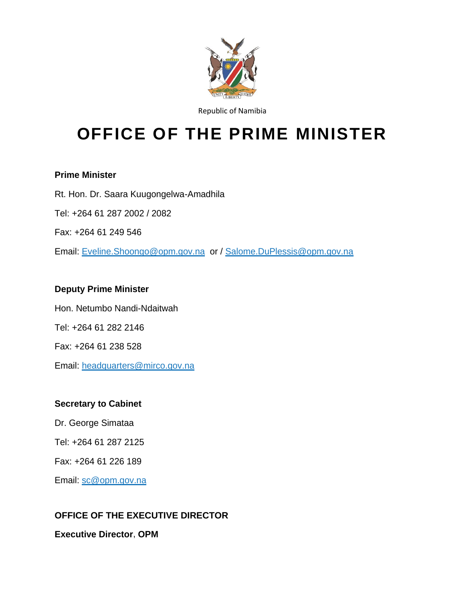

Republic of Namibia

# **OFFICE OF THE PRIME MINISTER**

#### **Prime Minister**

Rt. Hon. Dr. Saara Kuugongelwa-Amadhila Tel: +264 61 287 2002 / 2082 Fax: +264 61 249 546 Email: [Eveline.Shoongo@opm.gov.na](mailto:Eveline.Shoongo@opm.gov.na) or / [Salome.DuPlessis@opm.gov.na](mailto:Salome.DuPlessis@opm.gov.na)

# **Deputy Prime Minister**

Hon. Netumbo Nandi-Ndaitwah Tel: +264 61 282 2146 Fax: +264 61 238 528 Email: [headquarters@mirco.gov.na](mailto:headquarters@mirco.gov.na)

## **Secretary to Cabinet**

Dr. George Simataa

Tel: +264 61 287 2125

Fax: +264 61 226 189

Email: [sc@opm.gov.na](mailto:sc@opm.gov.na)

# **OFFICE OF THE EXECUTIVE DIRECTOR**

**Executive Director**, **OPM**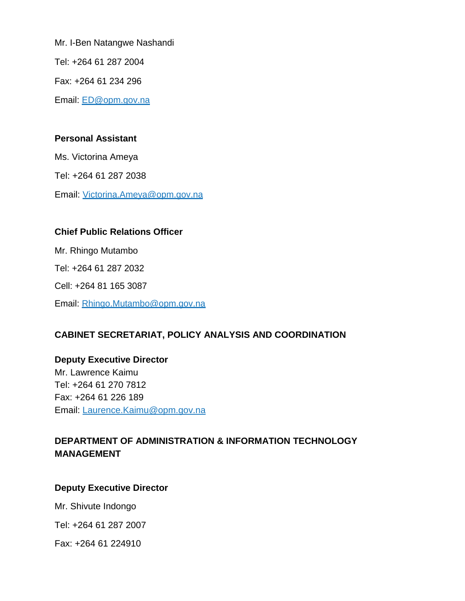Mr. I-Ben Natangwe Nashandi

Tel: +264 61 287 2004

Fax: +264 61 234 296

Email: [ED@opm.gov.na](mailto:ED@opm.gov.na)

#### **Personal Assistant**

Ms. Victorina Ameya

Tel: +264 61 287 2038

Email: [Victorina.Ameya@opm.gov.na](mailto:Victorina.Ameya@opm.gov.na)

#### **Chief Public Relations Officer**

Mr. Rhingo Mutambo Tel: +264 61 287 2032 Cell: +264 81 165 3087 Email: [Rhingo.Mutambo@opm.gov.na](mailto:Rhingo.Mutambo@opm.gov.na)

# **CABINET SECRETARIAT, POLICY ANALYSIS AND COORDINATION**

**Deputy Executive Director**  Mr. Lawrence Kaimu Tel: +264 61 270 7812 Fax: +264 61 226 189 Email: [Laurence.Kaimu@opm.gov.na](mailto:Laurence.Kaimu@opm.gov.na)

# **DEPARTMENT OF ADMINISTRATION & INFORMATION TECHNOLOGY MANAGEMENT**

## **Deputy Executive Director**

Mr. Shivute Indongo

Tel: +264 61 287 2007

Fax: +264 61 224910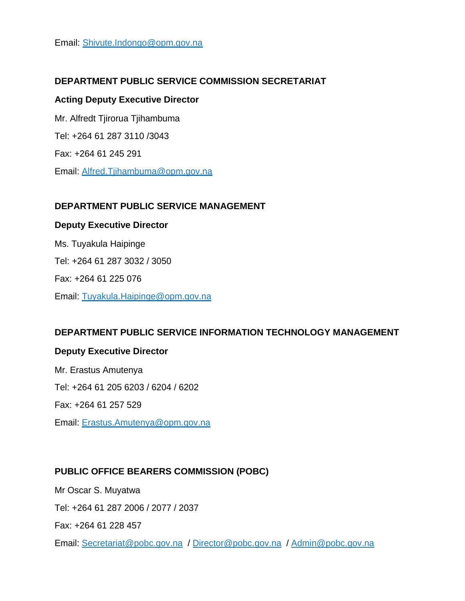Email: [Shivute.Indongo@opm.gov.na](mailto:Shivute.Indongo@opm.gov.na)

#### **DEPARTMENT PUBLIC SERVICE COMMISSION SECRETARIAT**

#### **Acting Deputy Executive Director**

Mr. Alfredt Tjirorua Tjihambuma Tel: +264 61 287 3110 /3043 Fax: +264 61 245 291 Email: [Alfred.Tjihambuma@opm.gov.na](mailto:Alfred.Tjihambuma@opm.gov.na) 

#### **DEPARTMENT PUBLIC SERVICE MANAGEMENT**

#### **Deputy Executive Director**

Ms. Tuyakula Haipinge Tel: +264 61 287 3032 / 3050 Fax: +264 61 225 076 Email: [Tuyakula.Haipinge@opm.gov.na](mailto:Tuyakula.Haipinge@opm.gov.na)

#### **DEPARTMENT PUBLIC SERVICE INFORMATION TECHNOLOGY MANAGEMENT**

#### **Deputy Executive Director**

Mr. Erastus Amutenya Tel: +264 61 205 6203 / 6204 / 6202 Fax: +264 61 257 529 Email: [Erastus.Amutenya@opm.gov.na](mailto:Erastus.Amutenya@opm.gov.na)

#### **PUBLIC OFFICE BEARERS COMMISSION (POBC)**

Mr Oscar S. Muyatwa Tel: +264 61 287 2006 / 2077 / 2037 Fax: +264 61 228 457

Email: [Secretariat@pobc.gov.na](mailto:Secretariat@pobc.gov.na) / [Director@pobc.gov.na](mailto:Director@pobc.gov.na) / [Admin@pobc.gov.na](mailto:Admin@pobc.gov.na)